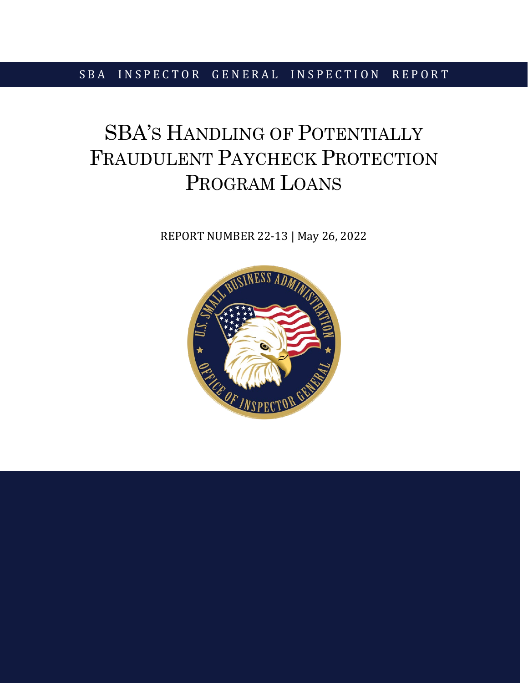## SBA INSPECTOR GENERAL INSPECTION REPORT

# SBA'S HANDLING OF POTENTIALLY FRAUDULENT PAYCHECK PROTECTION PROGRAM LOANS

REPORT NUMBER 22-13 | May 26, 2022

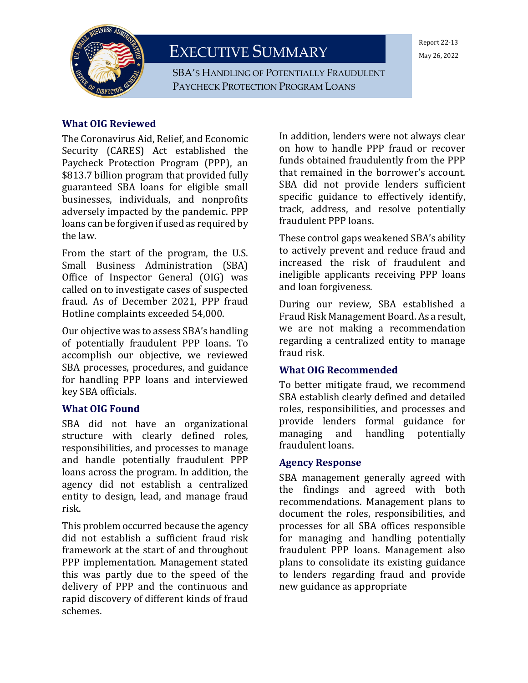

EXECUTIVE SUMMARY

SBA'S HANDLING OF POTENTIALLY FRAUDULENT PAYCHECK PROTECTION PROGRAM LOANS

#### Report 22-13 May 26, 2022

#### **What OIG Reviewed**

The Coronavirus Aid, Relief, and Economic Security (CARES) Act established the Paycheck Protection Program (PPP), an \$813.7 billion program that provided fully guaranteed SBA loans for eligible small businesses, individuals, and nonprofits adversely impacted by the pandemic. PPP loans can be forgiven if used as required by the law.

From the start of the program, the U.S. Small Business Administration (SBA) Office of Inspector General (OIG) was called on to investigate cases of suspected fraud. As of December 2021, PPP fraud Hotline complaints exceeded 54,000.

Our objective was to assess SBA's handling of potentially fraudulent PPP loans. To accomplish our objective, we reviewed SBA processes, procedures, and guidance for handling PPP loans and interviewed key SBA officials.

#### **What OIG Found**

SBA did not have an organizational structure with clearly defined roles, responsibilities, and processes to manage and handle potentially fraudulent PPP loans across the program. In addition, the agency did not establish a centralized entity to design, lead, and manage fraud risk.

This problem occurred because the agency did not establish a sufficient fraud risk framework at the start of and throughout PPP implementation. Management stated this was partly due to the speed of the delivery of PPP and the continuous and rapid discovery of different kinds of fraud schemes.

In addition, lenders were not always clear on how to handle PPP fraud or recover funds obtained fraudulently from the PPP that remained in the borrower's account. SBA did not provide lenders sufficient specific guidance to effectively identify, track, address, and resolve potentially fraudulent PPP loans.

These control gaps weakened SBA's ability to actively prevent and reduce fraud and increased the risk of fraudulent and ineligible applicants receiving PPP loans and loan forgiveness.

During our review, SBA established a Fraud Risk Management Board. As a result, we are not making a recommendation regarding a centralized entity to manage fraud risk.

#### **What OIG Recommended**

To better mitigate fraud, we recommend SBA establish clearly defined and detailed roles, responsibilities, and processes and provide lenders formal guidance for<br>managing and handling potentially potentially fraudulent loans.

#### **Agency Response**

SBA management generally agreed with the findings and agreed with both recommendations. Management plans to document the roles, responsibilities, and processes for all SBA offices responsible for managing and handling potentially fraudulent PPP loans. Management also plans to consolidate its existing guidance to lenders regarding fraud and provide new guidance as appropriate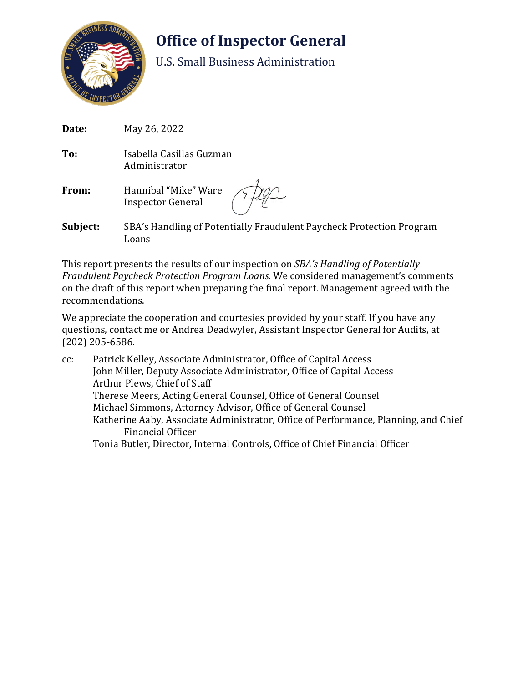

# **Office of Inspector General**

U.S. Small Business Administration

| Date:    | May 26, 2022                                                                  |
|----------|-------------------------------------------------------------------------------|
| To:      | Isabella Casillas Guzman<br>Administrator                                     |
| From:    | Hannibal "Mike" Ware 77/12                                                    |
| Subject: | SBA's Handling of Potentially Fraudulent Paycheck Protection Program<br>Loans |

This report presents the results of our inspection on *SBA's Handling of Potentially Fraudulent Paycheck Protection Program Loans*. We considered management's comments on the draft of this report when preparing the final report. Management agreed with the recommendations.

We appreciate the cooperation and courtesies provided by your staff. If you have any questions, contact me or Andrea Deadwyler, Assistant Inspector General for Audits, at (202) 205-6586.

cc: Patrick Kelley, Associate Administrator, Office of Capital Access John Miller, Deputy Associate Administrator, Office of Capital Access Arthur Plews, Chief of Staff Therese Meers, Acting General Counsel, Office of General Counsel Michael Simmons, Attorney Advisor, Office of General Counsel Katherine Aaby, Associate Administrator, Office of Performance, Planning, and Chief Financial Officer Tonia Butler, Director, Internal Controls, Office of Chief Financial Officer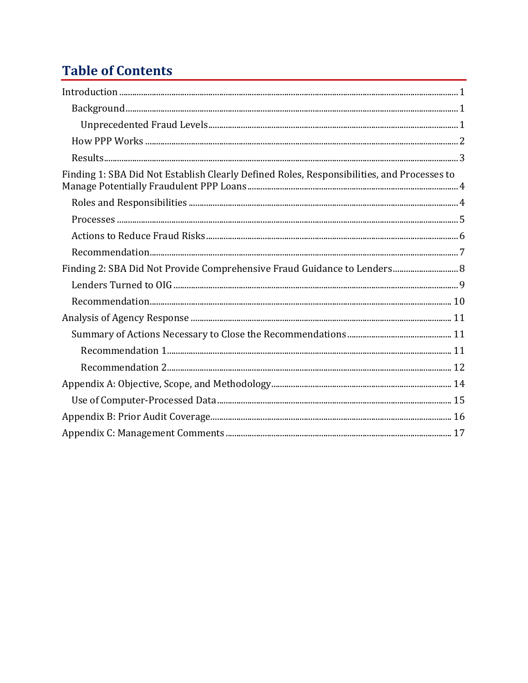# **Table of Contents**

| Finding 1: SBA Did Not Establish Clearly Defined Roles, Responsibilities, and Processes to |  |
|--------------------------------------------------------------------------------------------|--|
|                                                                                            |  |
|                                                                                            |  |
|                                                                                            |  |
|                                                                                            |  |
| Finding 2: SBA Did Not Provide Comprehensive Fraud Guidance to Lenders 8                   |  |
|                                                                                            |  |
|                                                                                            |  |
|                                                                                            |  |
|                                                                                            |  |
|                                                                                            |  |
|                                                                                            |  |
|                                                                                            |  |
|                                                                                            |  |
|                                                                                            |  |
|                                                                                            |  |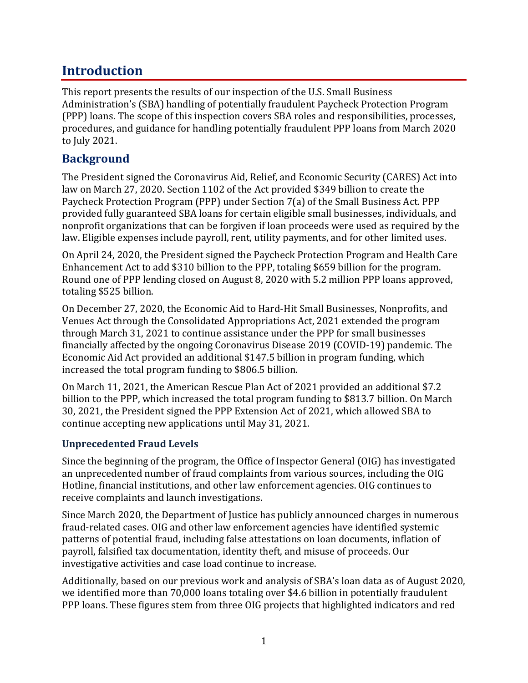## **Introduction**

This report presents the results of our inspection of the U.S. Small Business Administration's (SBA) handling of potentially fraudulent Paycheck Protection Program (PPP) loans. The scope of this inspection covers SBA roles and responsibilities, processes, procedures, and guidance for handling potentially fraudulent PPP loans from March 2020 to July 2021.

## **Background**

The President signed the Coronavirus Aid, Relief, and Economic Security (CARES) Act into law on March 27, 2020. Section 1102 of the Act provided \$349 billion to create the Paycheck Protection Program (PPP) under Section 7(a) of the Small Business Act. PPP provided fully guaranteed SBA loans for certain eligible small businesses, individuals, and nonprofit organizations that can be forgiven if loan proceeds were used as required by the law. Eligible expenses include payroll, rent, utility payments, and for other limited uses.

On April 24, 2020, the President signed the Paycheck Protection Program and Health Care Enhancement Act to add \$310 billion to the PPP, totaling \$659 billion for the program. Round one of PPP lending closed on August 8, 2020 with 5.2 million PPP loans approved, totaling \$525 billion.

On December 27, 2020, the Economic Aid to Hard-Hit Small Businesses, Nonprofits, and Venues Act through the Consolidated Appropriations Act, 2021 extended the program through March 31, 2021 to continue assistance under the PPP for small businesses financially affected by the ongoing Coronavirus Disease 2019 (COVID-19) pandemic. The Economic Aid Act provided an additional \$147.5 billion in program funding, which increased the total program funding to \$806.5 billion.

On March 11, 2021, the American Rescue Plan Act of 2021 provided an additional \$7.2 billion to the PPP, which increased the total program funding to \$813.7 billion. On March 30, 2021, the President signed the PPP Extension Act of 2021, which allowed SBA to continue accepting new applications until May 31, 2021.

### **Unprecedented Fraud Levels**

Since the beginning of the program, the Office of Inspector General (OIG) has investigated an unprecedented number of fraud complaints from various sources, including the OIG Hotline, financial institutions, and other law enforcement agencies. OIG continues to receive complaints and launch investigations.

Since March 2020, the Department of Justice has publicly announced charges in numerous fraud-related cases. OIG and other law enforcement agencies have identified systemic patterns of potential fraud, including false attestations on loan documents, inflation of payroll, falsified tax documentation, identity theft, and misuse of proceeds. Our investigative activities and case load continue to increase.

Additionally, based on our previous work and analysis of SBA's loan data as of August 2020, we identified more than 70,000 loans totaling over \$4.6 billion in potentially fraudulent PPP loans. These figures stem from three OIG projects that highlighted indicators and red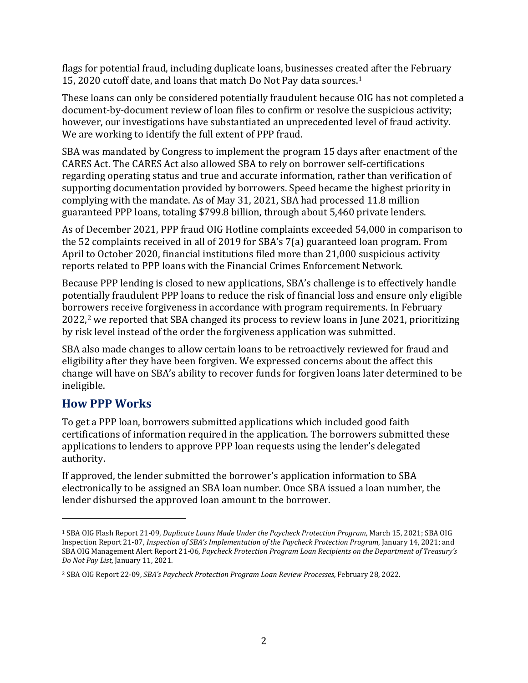flags for potential fraud, including duplicate loans, businesses created after the February 15, 2020 cutoff date, and loans that match Do Not Pay data sources.[1](#page-5-0)

These loans can only be considered potentially fraudulent because OIG has not completed a document-by-document review of loan files to confirm or resolve the suspicious activity; however, our investigations have substantiated an unprecedented level of fraud activity. We are working to identify the full extent of PPP fraud.

SBA was mandated by Congress to implement the program 15 days after enactment of the CARES Act. The CARES Act also allowed SBA to rely on borrower self-certifications regarding operating status and true and accurate information, rather than verification of supporting documentation provided by borrowers. Speed became the highest priority in complying with the mandate. As of May 31, 2021, SBA had processed 11.8 million guaranteed PPP loans, totaling \$799.8 billion, through about 5,460 private lenders.

As of December 2021, PPP fraud OIG Hotline complaints exceeded 54,000 in comparison to the 52 complaints received in all of 2019 for SBA's 7(a) guaranteed loan program. From April to October 2020, financial institutions filed more than 21,000 suspicious activity reports related to PPP loans with the Financial Crimes Enforcement Network.

Because PPP lending is closed to new applications, SBA's challenge is to effectively handle potentially fraudulent PPP loans to reduce the risk of financial loss and ensure only eligible borrowers receive forgiveness in accordance with program requirements. In February 2022, [2](#page-5-1) we reported that SBA changed its process to review loans in June 2021, prioritizing by risk level instead of the order the forgiveness application was submitted.

SBA also made changes to allow certain loans to be retroactively reviewed for fraud and eligibility after they have been forgiven. We expressed concerns about the affect this change will have on SBA's ability to recover funds for forgiven loans later determined to be ineligible.

## **How PPP Works**

To get a PPP loan, borrowers submitted applications which included good faith certifications of information required in the application. The borrowers submitted these applications to lenders to approve PPP loan requests using the lender's delegated authority.

If approved, the lender submitted the borrower's application information to SBA electronically to be assigned an SBA loan number. Once SBA issued a loan number, the lender disbursed the approved loan amount to the borrower.

<span id="page-5-0"></span><sup>1</sup> SBA OIG Flash Report 21-09, *Duplicate Loans Made Under the Paycheck Protection Program*, March 15, 2021; SBA OIG Inspection Report 21-07, *Inspection of SBA's Implementation of the Paycheck Protection Program*, January 14, 2021; and SBA OIG Management Alert Report 21-06, *Paycheck Protection Program Loan Recipients on the Department of Treasury's Do Not Pay List*, January 11, 2021.

<span id="page-5-1"></span><sup>2</sup> SBA OIG Report 22-09, *SBA's Paycheck Protection Program Loan Review Processes*, February 28, 2022.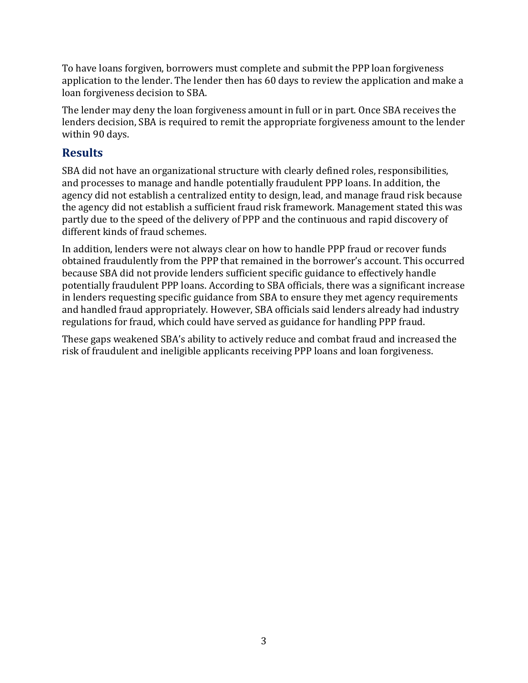To have loans forgiven, borrowers must complete and submit the PPP loan forgiveness application to the lender. The lender then has 60 days to review the application and make a loan forgiveness decision to SBA.

The lender may deny the loan forgiveness amount in full or in part. Once SBA receives the lenders decision, SBA is required to remit the appropriate forgiveness amount to the lender within 90 days.

## **Results**

SBA did not have an organizational structure with clearly defined roles, responsibilities, and processes to manage and handle potentially fraudulent PPP loans. In addition, the agency did not establish a centralized entity to design, lead, and manage fraud risk because the agency did not establish a sufficient fraud risk framework. Management stated this was partly due to the speed of the delivery of PPP and the continuous and rapid discovery of different kinds of fraud schemes.

In addition, lenders were not always clear on how to handle PPP fraud or recover funds obtained fraudulently from the PPP that remained in the borrower's account. This occurred because SBA did not provide lenders sufficient specific guidance to effectively handle potentially fraudulent PPP loans. According to SBA officials, there was a significant increase in lenders requesting specific guidance from SBA to ensure they met agency requirements and handled fraud appropriately. However, SBA officials said lenders already had industry regulations for fraud, which could have served as guidance for handling PPP fraud.

These gaps weakened SBA's ability to actively reduce and combat fraud and increased the risk of fraudulent and ineligible applicants receiving PPP loans and loan forgiveness.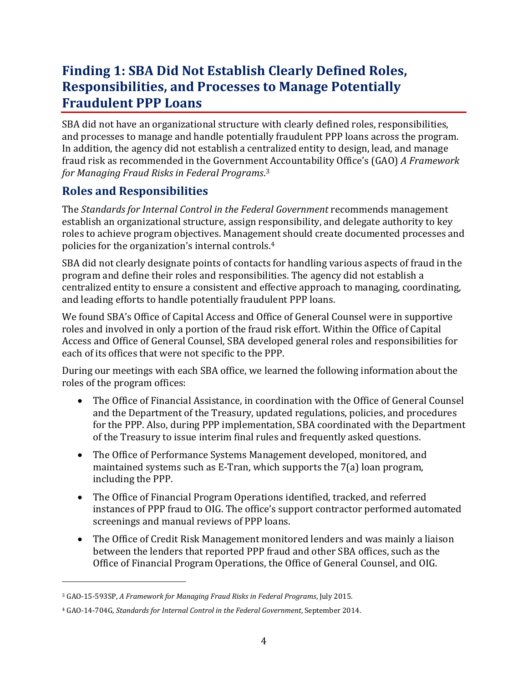## **Finding 1: SBA Did Not Establish Clearly Defined Roles, Responsibilities, and Processes to Manage Potentially Fraudulent PPP Loans**

SBA did not have an organizational structure with clearly defined roles, responsibilities, and processes to manage and handle potentially fraudulent PPP loans across the program. In addition, the agency did not establish a centralized entity to design, lead, and manage fraud risk as recommended in the Government Accountability Office's (GAO) *A Framework for Managing Fraud Risks in Federal Programs*. [3](#page-7-0)

## **Roles and Responsibilities**

The *Standards for Internal Control in the Federal Government* recommends management establish an organizational structure, assign responsibility, and delegate authority to key roles to achieve program objectives. Management should create documented processes and policies for the organization's internal controls.[4](#page-7-1)

SBA did not clearly designate points of contacts for handling various aspects of fraud in the program and define their roles and responsibilities. The agency did not establish a centralized entity to ensure a consistent and effective approach to managing, coordinating, and leading efforts to handle potentially fraudulent PPP loans.

We found SBA's Office of Capital Access and Office of General Counsel were in supportive roles and involved in only a portion of the fraud risk effort. Within the Office of Capital Access and Office of General Counsel, SBA developed general roles and responsibilities for each of its offices that were not specific to the PPP.

During our meetings with each SBA office, we learned the following information about the roles of the program offices:

- The Office of Financial Assistance, in coordination with the Office of General Counsel and the Department of the Treasury, updated regulations, policies, and procedures for the PPP. Also, during PPP implementation, SBA coordinated with the Department of the Treasury to issue interim final rules and frequently asked questions.
- The Office of Performance Systems Management developed, monitored, and maintained systems such as E-Tran, which supports the 7(a) loan program, including the PPP.
- The Office of Financial Program Operations identified, tracked, and referred instances of PPP fraud to OIG. The office's support contractor performed automated screenings and manual reviews of PPP loans.
- The Office of Credit Risk Management monitored lenders and was mainly a liaison between the lenders that reported PPP fraud and other SBA offices, such as the Office of Financial Program Operations, the Office of General Counsel, and OIG.

<span id="page-7-0"></span><sup>3</sup> GAO-15-593SP, *A Framework for Managing Fraud Risks in Federal Programs*, July 2015.

<span id="page-7-1"></span><sup>4</sup> GAO-14-704G, *Standards for Internal Control in the Federal Government*, September 2014.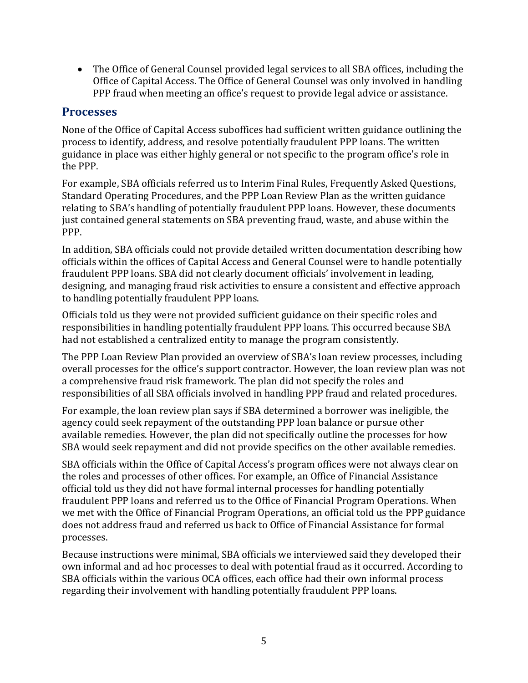• The Office of General Counsel provided legal services to all SBA offices, including the Office of Capital Access. The Office of General Counsel was only involved in handling PPP fraud when meeting an office's request to provide legal advice or assistance.

#### **Processes**

None of the Office of Capital Access suboffices had sufficient written guidance outlining the process to identify, address, and resolve potentially fraudulent PPP loans. The written guidance in place was either highly general or not specific to the program office's role in the PPP.

For example, SBA officials referred us to Interim Final Rules, Frequently Asked Questions, Standard Operating Procedures, and the PPP Loan Review Plan as the written guidance relating to SBA's handling of potentially fraudulent PPP loans. However, these documents just contained general statements on SBA preventing fraud, waste, and abuse within the PPP.

In addition, SBA officials could not provide detailed written documentation describing how officials within the offices of Capital Access and General Counsel were to handle potentially fraudulent PPP loans. SBA did not clearly document officials' involvement in leading, designing, and managing fraud risk activities to ensure a consistent and effective approach to handling potentially fraudulent PPP loans.

Officials told us they were not provided sufficient guidance on their specific roles and responsibilities in handling potentially fraudulent PPP loans. This occurred because SBA had not established a centralized entity to manage the program consistently.

The PPP Loan Review Plan provided an overview of SBA's loan review processes, including overall processes for the office's support contractor. However, the loan review plan was not a comprehensive fraud risk framework. The plan did not specify the roles and responsibilities of all SBA officials involved in handling PPP fraud and related procedures.

For example, the loan review plan says if SBA determined a borrower was ineligible, the agency could seek repayment of the outstanding PPP loan balance or pursue other available remedies. However, the plan did not specifically outline the processes for how SBA would seek repayment and did not provide specifics on the other available remedies.

SBA officials within the Office of Capital Access's program offices were not always clear on the roles and processes of other offices. For example, an Office of Financial Assistance official told us they did not have formal internal processes for handling potentially fraudulent PPP loans and referred us to the Office of Financial Program Operations. When we met with the Office of Financial Program Operations, an official told us the PPP guidance does not address fraud and referred us back to Office of Financial Assistance for formal processes.

Because instructions were minimal, SBA officials we interviewed said they developed their own informal and ad hoc processes to deal with potential fraud as it occurred. According to SBA officials within the various OCA offices, each office had their own informal process regarding their involvement with handling potentially fraudulent PPP loans.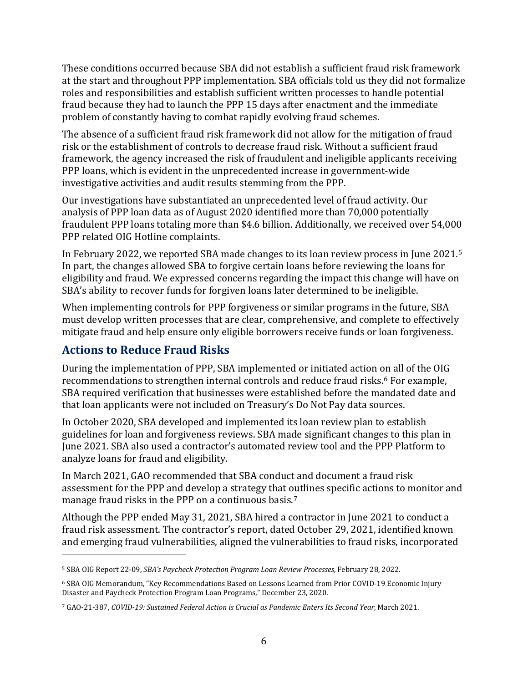These conditions occurred because SBA did not establish a sufficient fraud risk framework at the start and throughout PPP implementation. SBA officials told us they did not formalize roles and responsibilities and establish sufficient written processes to handle potential fraud because they had to launch the PPP 15 days after enactment and the immediate problem of constantly having to combat rapidly evolving fraud schemes.

The absence of a sufficient fraud risk framework did not allow for the mitigation of fraud risk or the establishment of controls to decrease fraud risk. Without a sufficient fraud framework, the agency increased the risk of fraudulent and ineligible applicants receiving PPP loans, which is evident in the unprecedented increase in government-wide investigative activities and audit results stemming from the PPP.

Our investigations have substantiated an unprecedented level of fraud activity. Our analysis of PPP loan data as of August 2020 identified more than 70,000 potentially fraudulent PPP loans totaling more than \$4.6 billion. Additionally, we received over 54,000 PPP related OIG Hotline complaints.

In February 2022, we reported SBA made changes to its loan review process in June 2021.[5](#page-9-0) In part, the changes allowed SBA to forgive certain loans before reviewing the loans for eligibility and fraud. We expressed concerns regarding the impact this change will have on SBA's ability to recover funds for forgiven loans later determined to be ineligible.

When implementing controls for PPP forgiveness or similar programs in the future, SBA must develop written processes that are clear, comprehensive, and complete to effectively mitigate fraud and help ensure only eligible borrowers receive funds or loan forgiveness.

## **Actions to Reduce Fraud Risks**

During the implementation of PPP, SBA implemented or initiated action on all of the OIG recommendations to strengthen internal controls and reduce fraud risks.<sup>[6](#page-9-1)</sup> For example, SBA required verification that businesses were established before the mandated date and that loan applicants were not included on Treasury's Do Not Pay data sources.

In October 2020, SBA developed and implemented its loan review plan to establish guidelines for loan and forgiveness reviews. SBA made significant changes to this plan in June 2021. SBA also used a contractor's automated review tool and the PPP Platform to analyze loans for fraud and eligibility.

In March 2021, GAO recommended that SBA conduct and document a fraud risk assessment for the PPP and develop a strategy that outlines specific actions to monitor and manage fraud risks in the PPP on a continuous basis. [7](#page-9-2)

Although the PPP ended May 31, 2021, SBA hired a contractor in June 2021 to conduct a fraud risk assessment. The contractor's report, dated October 29, 2021, identified known and emerging fraud vulnerabilities, aligned the vulnerabilities to fraud risks, incorporated

<span id="page-9-0"></span><sup>5</sup> SBA OIG Report 22-09, *SBA's Paycheck Protection Program Loan Review Processes*, February 28, 2022.

<span id="page-9-1"></span><sup>6</sup> SBA OIG Memorandum, "Key Recommendations Based on Lessons Learned from Prior COVID-19 Economic Injury Disaster and Paycheck Protection Program Loan Programs," December 23, 2020.

<span id="page-9-2"></span><sup>7</sup> GAO-21-387, *COVID-19: Sustained Federal Action is Crucial as Pandemic Enters Its Second Year*, March 2021.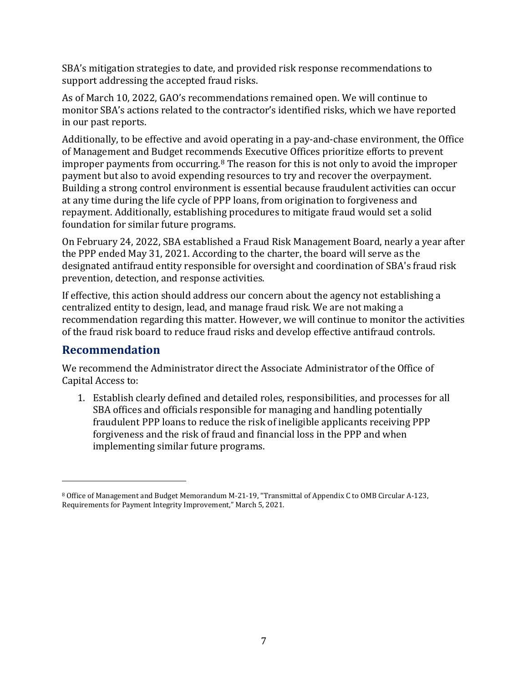SBA's mitigation strategies to date, and provided risk response recommendations to support addressing the accepted fraud risks.

As of March 10, 2022, GAO's recommendations remained open. We will continue to monitor SBA's actions related to the contractor's identified risks, which we have reported in our past reports.

Additionally, to be effective and avoid operating in a pay-and-chase environment, the Office of Management and Budget recommends Executive Offices prioritize efforts to prevent improper payments from occurring.<sup>[8](#page-10-0)</sup> The reason for this is not only to avoid the improper payment but also to avoid expending resources to try and recover the overpayment. Building a strong control environment is essential because fraudulent activities can occur at any time during the life cycle of PPP loans, from origination to forgiveness and repayment. Additionally, establishing procedures to mitigate fraud would set a solid foundation for similar future programs.

On February 24, 2022, SBA established a Fraud Risk Management Board, nearly a year after the PPP ended May 31, 2021. According to the charter, the board will serve as the designated antifraud entity responsible for oversight and coordination of SBA's fraud risk prevention, detection, and response activities.

If effective, this action should address our concern about the agency not establishing a centralized entity to design, lead, and manage fraud risk. We are not making a recommendation regarding this matter. However, we will continue to monitor the activities of the fraud risk board to reduce fraud risks and develop effective antifraud controls.

### **Recommendation**

We recommend the Administrator direct the Associate Administrator of the Office of Capital Access to:

1. Establish clearly defined and detailed roles, responsibilities, and processes for all SBA offices and officials responsible for managing and handling potentially fraudulent PPP loans to reduce the risk of ineligible applicants receiving PPP forgiveness and the risk of fraud and financial loss in the PPP and when implementing similar future programs.

<span id="page-10-0"></span><sup>8</sup> Office of Management and Budget Memorandum M-21-19, "Transmittal of Appendix C to OMB Circular A-123, Requirements for Payment Integrity Improvement," March 5, 2021.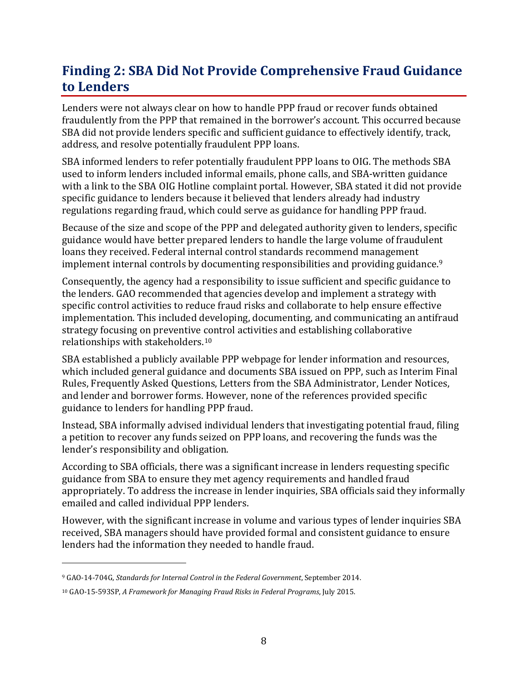## **Finding 2: SBA Did Not Provide Comprehensive Fraud Guidance to Lenders**

Lenders were not always clear on how to handle PPP fraud or recover funds obtained fraudulently from the PPP that remained in the borrower's account. This occurred because SBA did not provide lenders specific and sufficient guidance to effectively identify, track, address, and resolve potentially fraudulent PPP loans.

SBA informed lenders to refer potentially fraudulent PPP loans to OIG. The methods SBA used to inform lenders included informal emails, phone calls, and SBA-written guidance with a link to the SBA OIG Hotline complaint portal. However, SBA stated it did not provide specific guidance to lenders because it believed that lenders already had industry regulations regarding fraud, which could serve as guidance for handling PPP fraud.

Because of the size and scope of the PPP and delegated authority given to lenders, specific guidance would have better prepared lenders to handle the large volume of fraudulent loans they received. Federal internal control standards recommend management implement internal controls by documenting responsibilities and providing guidance.[9](#page-11-0)

Consequently, the agency had a responsibility to issue sufficient and specific guidance to the lenders. GAO recommended that agencies develop and implement a strategy with specific control activities to reduce fraud risks and collaborate to help ensure effective implementation. This included developing, documenting, and communicating an antifraud strategy focusing on preventive control activities and establishing collaborative relationships with stakeholders.[10](#page-11-1)

SBA established a publicly available PPP webpage for lender information and resources, which included general guidance and documents SBA issued on PPP, such as Interim Final Rules, Frequently Asked Questions, Letters from the SBA Administrator, Lender Notices, and lender and borrower forms. However, none of the references provided specific guidance to lenders for handling PPP fraud.

Instead, SBA informally advised individual lenders that investigating potential fraud, filing a petition to recover any funds seized on PPP loans, and recovering the funds was the lender's responsibility and obligation.

According to SBA officials, there was a significant increase in lenders requesting specific guidance from SBA to ensure they met agency requirements and handled fraud appropriately. To address the increase in lender inquiries, SBA officials said they informally emailed and called individual PPP lenders.

However, with the significant increase in volume and various types of lender inquiries SBA received, SBA managers should have provided formal and consistent guidance to ensure lenders had the information they needed to handle fraud.

<span id="page-11-0"></span><sup>9</sup> GAO-14-704G, *Standards for Internal Control in the Federal Government*, September 2014.

<span id="page-11-1"></span><sup>10</sup> GAO-15-593SP, *A Framework for Managing Fraud Risks in Federal Programs*, July 2015.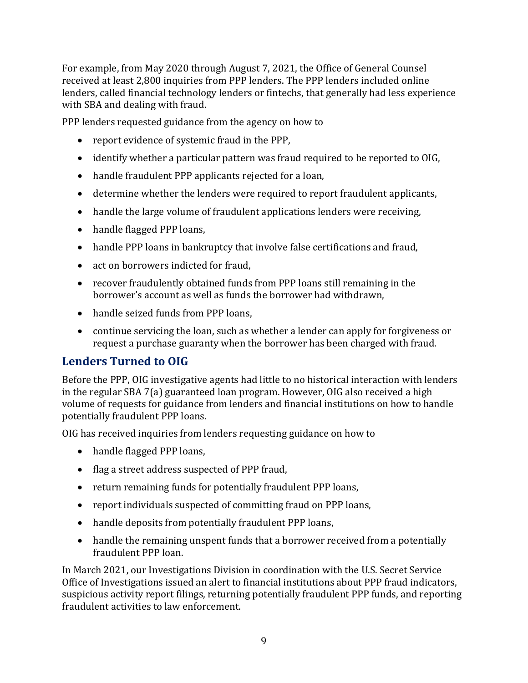For example, from May 2020 through August 7, 2021, the Office of General Counsel received at least 2,800 inquiries from PPP lenders. The PPP lenders included online lenders, called financial technology lenders or fintechs, that generally had less experience with SBA and dealing with fraud.

PPP lenders requested guidance from the agency on how to

- report evidence of systemic fraud in the PPP,
- identify whether a particular pattern was fraud required to be reported to OIG,
- handle fraudulent PPP applicants rejected for a loan,
- determine whether the lenders were required to report fraudulent applicants,
- handle the large volume of fraudulent applications lenders were receiving,
- handle flagged PPP loans,
- handle PPP loans in bankruptcy that involve false certifications and fraud,
- act on borrowers indicted for fraud,
- recover fraudulently obtained funds from PPP loans still remaining in the borrower's account as well as funds the borrower had withdrawn,
- handle seized funds from PPP loans.
- continue servicing the loan, such as whether a lender can apply for forgiveness or request a purchase guaranty when the borrower has been charged with fraud.

### **Lenders Turned to OIG**

Before the PPP, OIG investigative agents had little to no historical interaction with lenders in the regular SBA 7(a) guaranteed loan program. However, OIG also received a high volume of requests for guidance from lenders and financial institutions on how to handle potentially fraudulent PPP loans.

OIG has received inquiries from lenders requesting guidance on how to

- handle flagged PPP loans,
- flag a street address suspected of PPP fraud,
- return remaining funds for potentially fraudulent PPP loans,
- report individuals suspected of committing fraud on PPP loans,
- handle deposits from potentially fraudulent PPP loans,
- handle the remaining unspent funds that a borrower received from a potentially fraudulent PPP loan.

In March 2021, our Investigations Division in coordination with the U.S. Secret Service Office of Investigations issued an alert to financial institutions about PPP fraud indicators, suspicious activity report filings, returning potentially fraudulent PPP funds, and reporting fraudulent activities to law enforcement.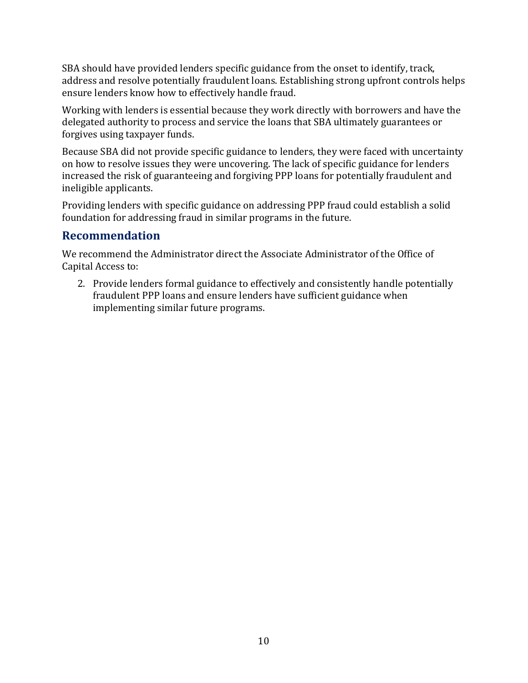SBA should have provided lenders specific guidance from the onset to identify, track, address and resolve potentially fraudulent loans. Establishing strong upfront controls helps ensure lenders know how to effectively handle fraud.

Working with lenders is essential because they work directly with borrowers and have the delegated authority to process and service the loans that SBA ultimately guarantees or forgives using taxpayer funds.

Because SBA did not provide specific guidance to lenders, they were faced with uncertainty on how to resolve issues they were uncovering. The lack of specific guidance for lenders increased the risk of guaranteeing and forgiving PPP loans for potentially fraudulent and ineligible applicants.

Providing lenders with specific guidance on addressing PPP fraud could establish a solid foundation for addressing fraud in similar programs in the future.

## **Recommendation**

We recommend the Administrator direct the Associate Administrator of the Office of Capital Access to:

2. Provide lenders formal guidance to effectively and consistently handle potentially fraudulent PPP loans and ensure lenders have sufficient guidance when implementing similar future programs.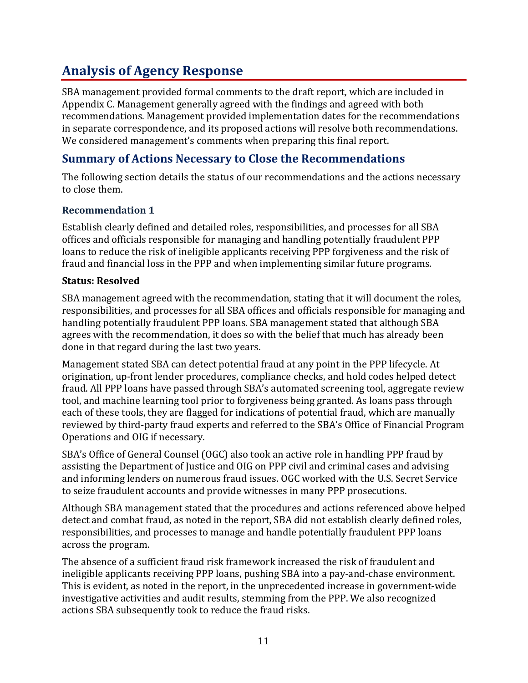# **Analysis of Agency Response**

SBA management provided formal comments to the draft report, which are included in Appendix C. Management generally agreed with the findings and agreed with both recommendations. Management provided implementation dates for the recommendations in separate correspondence, and its proposed actions will resolve both recommendations. We considered management's comments when preparing this final report.

### **Summary of Actions Necessary to Close the Recommendations**

The following section details the status of our recommendations and the actions necessary to close them.

#### **Recommendation 1**

Establish clearly defined and detailed roles, responsibilities, and processes for all SBA offices and officials responsible for managing and handling potentially fraudulent PPP loans to reduce the risk of ineligible applicants receiving PPP forgiveness and the risk of fraud and financial loss in the PPP and when implementing similar future programs.

#### **Status: Resolved**

SBA management agreed with the recommendation, stating that it will document the roles, responsibilities, and processes for all SBA offices and officials responsible for managing and handling potentially fraudulent PPP loans. SBA management stated that although SBA agrees with the recommendation, it does so with the belief that much has already been done in that regard during the last two years.

Management stated SBA can detect potential fraud at any point in the PPP lifecycle. At origination, up-front lender procedures, compliance checks, and hold codes helped detect fraud. All PPP loans have passed through SBA's automated screening tool, aggregate review tool, and machine learning tool prior to forgiveness being granted. As loans pass through each of these tools, they are flagged for indications of potential fraud, which are manually reviewed by third-party fraud experts and referred to the SBA's Office of Financial Program Operations and OIG if necessary.

SBA's Office of General Counsel (OGC) also took an active role in handling PPP fraud by assisting the Department of Justice and OIG on PPP civil and criminal cases and advising and informing lenders on numerous fraud issues. OGC worked with the U.S. Secret Service to seize fraudulent accounts and provide witnesses in many PPP prosecutions.

Although SBA management stated that the procedures and actions referenced above helped detect and combat fraud, as noted in the report, SBA did not establish clearly defined roles, responsibilities, and processes to manage and handle potentially fraudulent PPP loans across the program.

The absence of a sufficient fraud risk framework increased the risk of fraudulent and ineligible applicants receiving PPP loans, pushing SBA into a pay-and-chase environment. This is evident, as noted in the report, in the unprecedented increase in government-wide investigative activities and audit results, stemming from the PPP. We also recognized actions SBA subsequently took to reduce the fraud risks.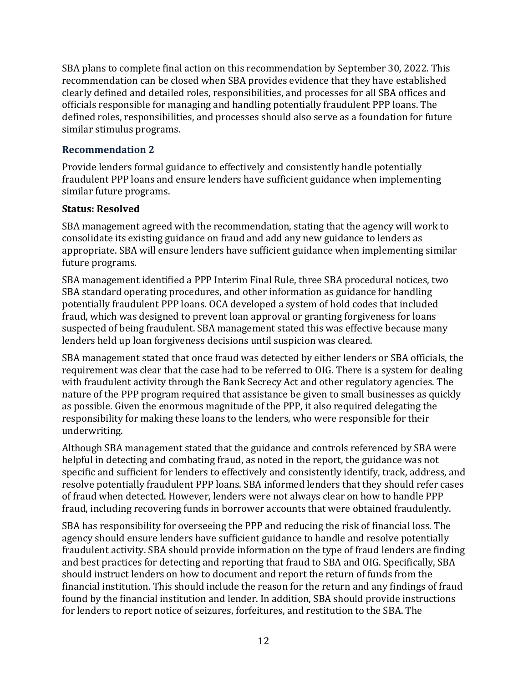SBA plans to complete final action on this recommendation by September 30, 2022. This recommendation can be closed when SBA provides evidence that they have established clearly defined and detailed roles, responsibilities, and processes for all SBA offices and officials responsible for managing and handling potentially fraudulent PPP loans. The defined roles, responsibilities, and processes should also serve as a foundation for future similar stimulus programs.

#### **Recommendation 2**

Provide lenders formal guidance to effectively and consistently handle potentially fraudulent PPP loans and ensure lenders have sufficient guidance when implementing similar future programs.

#### **Status: Resolved**

SBA management agreed with the recommendation, stating that the agency will work to consolidate its existing guidance on fraud and add any new guidance to lenders as appropriate. SBA will ensure lenders have sufficient guidance when implementing similar future programs.

SBA management identified a PPP Interim Final Rule, three SBA procedural notices, two SBA standard operating procedures, and other information as guidance for handling potentially fraudulent PPP loans. OCA developed a system of hold codes that included fraud, which was designed to prevent loan approval or granting forgiveness for loans suspected of being fraudulent. SBA management stated this was effective because many lenders held up loan forgiveness decisions until suspicion was cleared.

SBA management stated that once fraud was detected by either lenders or SBA officials, the requirement was clear that the case had to be referred to OIG. There is a system for dealing with fraudulent activity through the Bank Secrecy Act and other regulatory agencies. The nature of the PPP program required that assistance be given to small businesses as quickly as possible. Given the enormous magnitude of the PPP, it also required delegating the responsibility for making these loans to the lenders, who were responsible for their underwriting.

Although SBA management stated that the guidance and controls referenced by SBA were helpful in detecting and combating fraud, as noted in the report, the guidance was not specific and sufficient for lenders to effectively and consistently identify, track, address, and resolve potentially fraudulent PPP loans. SBA informed lenders that they should refer cases of fraud when detected. However, lenders were not always clear on how to handle PPP fraud, including recovering funds in borrower accounts that were obtained fraudulently.

SBA has responsibility for overseeing the PPP and reducing the risk of financial loss. The agency should ensure lenders have sufficient guidance to handle and resolve potentially fraudulent activity. SBA should provide information on the type of fraud lenders are finding and best practices for detecting and reporting that fraud to SBA and OIG. Specifically, SBA should instruct lenders on how to document and report the return of funds from the financial institution. This should include the reason for the return and any findings of fraud found by the financial institution and lender. In addition, SBA should provide instructions for lenders to report notice of seizures, forfeitures, and restitution to the SBA. The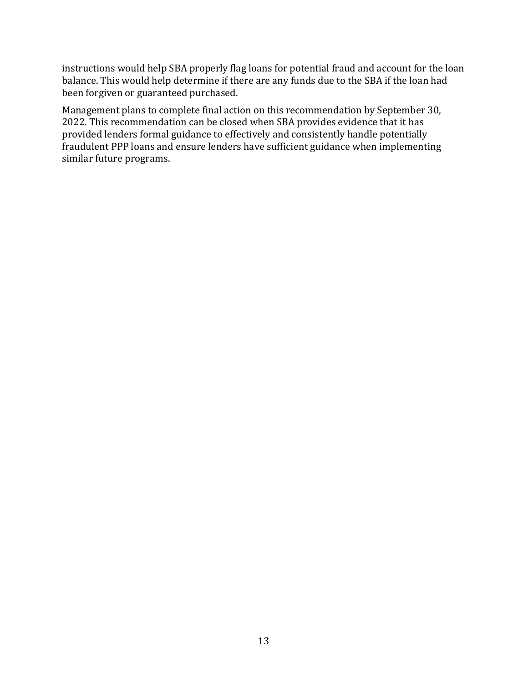instructions would help SBA properly flag loans for potential fraud and account for the loan balance. This would help determine if there are any funds due to the SBA if the loan had been forgiven or guaranteed purchased.

Management plans to complete final action on this recommendation by September 30, 2022. This recommendation can be closed when SBA provides evidence that it has provided lenders formal guidance to effectively and consistently handle potentially fraudulent PPP loans and ensure lenders have sufficient guidance when implementing similar future programs.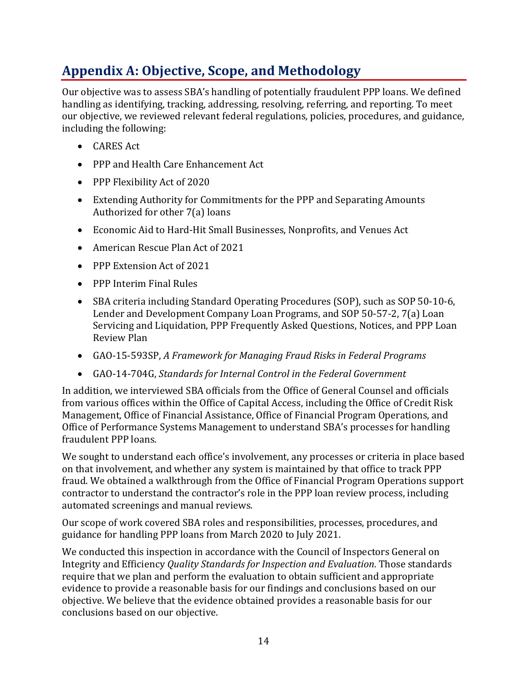# **Appendix A: Objective, Scope, and Methodology**

Our objective was to assess SBA's handling of potentially fraudulent PPP loans. We defined handling as identifying, tracking, addressing, resolving, referring, and reporting. To meet our objective, we reviewed relevant federal regulations, policies, procedures, and guidance, including the following:

- CARES Act
- PPP and Health Care Enhancement Act
- PPP Flexibility Act of 2020
- Extending Authority for Commitments for the PPP and Separating Amounts Authorized for other 7(a) loans
- Economic Aid to Hard-Hit Small Businesses, Nonprofits, and Venues Act
- American Rescue Plan Act of 2021
- PPP Extension Act of 2021
- PPP Interim Final Rules
- SBA criteria including Standard Operating Procedures (SOP), such as SOP 50-10-6, Lender and Development Company Loan Programs, and SOP 50-57-2, 7(a) Loan Servicing and Liquidation, PPP Frequently Asked Questions, Notices, and PPP Loan Review Plan
- GAO-15-593SP, *A Framework for Managing Fraud Risks in Federal Programs*
- GAO-14-704G, *Standards for Internal Control in the Federal Government*

In addition, we interviewed SBA officials from the Office of General Counsel and officials from various offices within the Office of Capital Access, including the Office of Credit Risk Management, Office of Financial Assistance, Office of Financial Program Operations, and Office of Performance Systems Management to understand SBA's processes for handling fraudulent PPP loans.

We sought to understand each office's involvement, any processes or criteria in place based on that involvement, and whether any system is maintained by that office to track PPP fraud. We obtained a walkthrough from the Office of Financial Program Operations support contractor to understand the contractor's role in the PPP loan review process, including automated screenings and manual reviews.

Our scope of work covered SBA roles and responsibilities, processes, procedures, and guidance for handling PPP loans from March 2020 to July 2021.

We conducted this inspection in accordance with the Council of Inspectors General on Integrity and Efficiency *Quality Standards for Inspection and Evaluation*. Those standards require that we plan and perform the evaluation to obtain sufficient and appropriate evidence to provide a reasonable basis for our findings and conclusions based on our objective. We believe that the evidence obtained provides a reasonable basis for our conclusions based on our objective.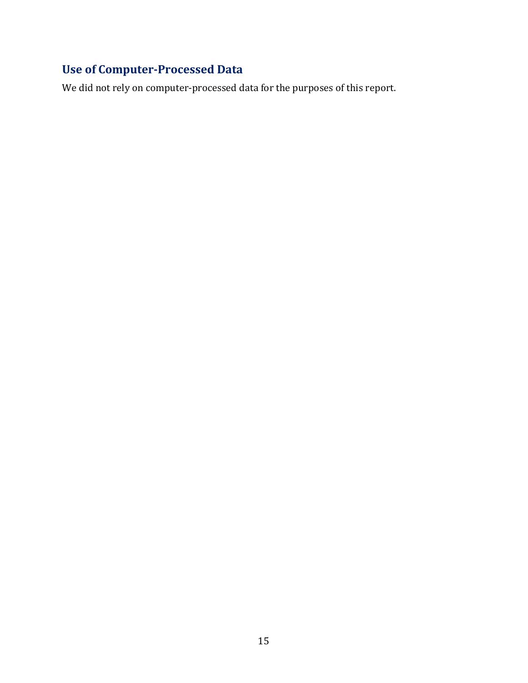## **Use of Computer-Processed Data**

We did not rely on computer-processed data for the purposes of this report.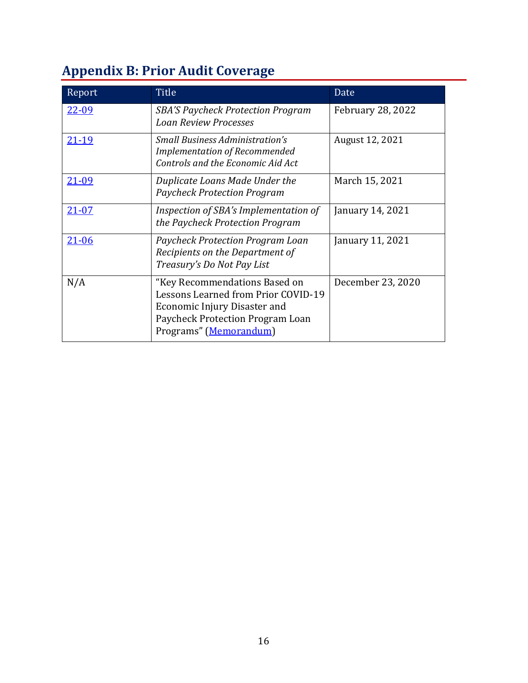# **Appendix B: Prior Audit Coverage**

| Report       | Title                                                                                                                                                              | Date                     |
|--------------|--------------------------------------------------------------------------------------------------------------------------------------------------------------------|--------------------------|
| <u>22-09</u> | <b>SBA'S Paycheck Protection Program</b><br><b>Loan Review Processes</b>                                                                                           | <b>February 28, 2022</b> |
| $21 - 19$    | <b>Small Business Administration's</b><br><b>Implementation of Recommended</b><br>Controls and the Economic Aid Act                                                | August 12, 2021          |
| <u>21-09</u> | Duplicate Loans Made Under the<br><b>Paycheck Protection Program</b>                                                                                               | March 15, 2021           |
| $21 - 07$    | Inspection of SBA's Implementation of<br>the Paycheck Protection Program                                                                                           | January 14, 2021         |
| $21 - 06$    | <b>Paycheck Protection Program Loan</b><br>Recipients on the Department of<br>Treasury's Do Not Pay List                                                           | January 11, 2021         |
| N/A          | "Key Recommendations Based on<br>Lessons Learned from Prior COVID-19<br>Economic Injury Disaster and<br>Paycheck Protection Program Loan<br>Programs" (Memorandum) | December 23, 2020        |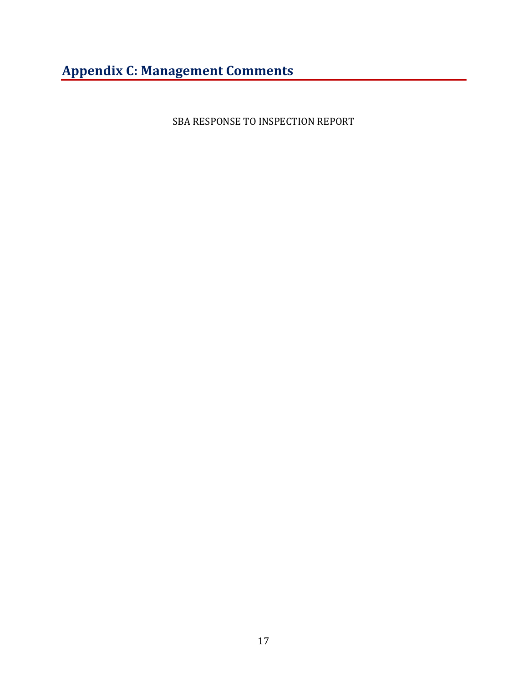# **Appendix C: Management Comments**

SBA RESPONSE TO INSPECTION REPORT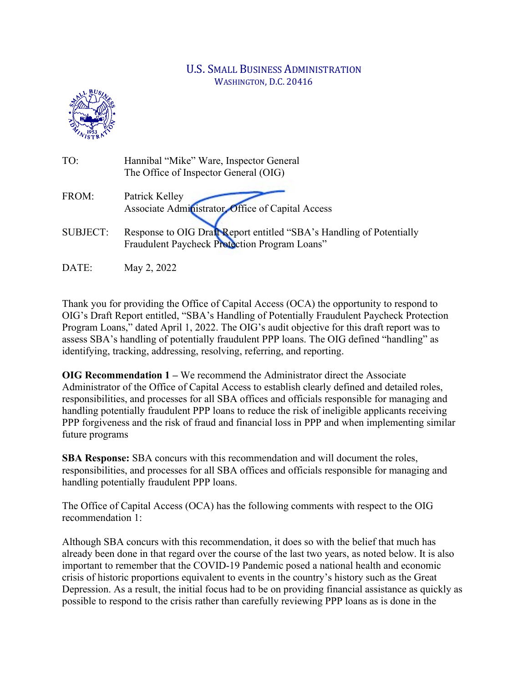#### U.S. SMALL BUSINESS ADMINISTRATION WASHINGTON, D.C. 20416



| TO:             | Hannibal "Mike" Ware, Inspector General<br>The Office of Inspector General (OIG)                                      |
|-----------------|-----------------------------------------------------------------------------------------------------------------------|
| FROM:           | Patrick Kelley<br>Associate Administrator, Office of Capital Access                                                   |
| <b>SUBJECT:</b> | Response to OIG Draft Report entitled "SBA's Handling of Potentially<br>Fraudulent Paycheck Protection Program Loans" |
| DATE:           | May 2, 2022                                                                                                           |

Thank you for providing the Office of Capital Access (OCA) the opportunity to respond to OIG's Draft Report entitled, "SBA's Handling of Potentially Fraudulent Paycheck Protection Program Loans," dated April 1, 2022. The OIG's audit objective for this draft report was to assess SBA's handling of potentially fraudulent PPP loans. The OIG defined "handling" as identifying, tracking, addressing, resolving, referring, and reporting.

**OIG Recommendation 1 –** We recommend the Administrator direct the Associate Administrator of the Office of Capital Access to establish clearly defined and detailed roles, responsibilities, and processes for all SBA offices and officials responsible for managing and handling potentially fraudulent PPP loans to reduce the risk of ineligible applicants receiving PPP forgiveness and the risk of fraud and financial loss in PPP and when implementing similar future programs

**SBA Response:** SBA concurs with this recommendation and will document the roles, responsibilities, and processes for all SBA offices and officials responsible for managing and handling potentially fraudulent PPP loans.

The Office of Capital Access (OCA) has the following comments with respect to the OIG recommendation 1:

Although SBA concurs with this recommendation, it does so with the belief that much has already been done in that regard over the course of the last two years, as noted below. It is also important to remember that the COVID-19 Pandemic posed a national health and economic crisis of historic proportions equivalent to events in the country's history such as the Great Depression. As a result, the initial focus had to be on providing financial assistance as quickly as possible to respond to the crisis rather than carefully reviewing PPP loans as is done in the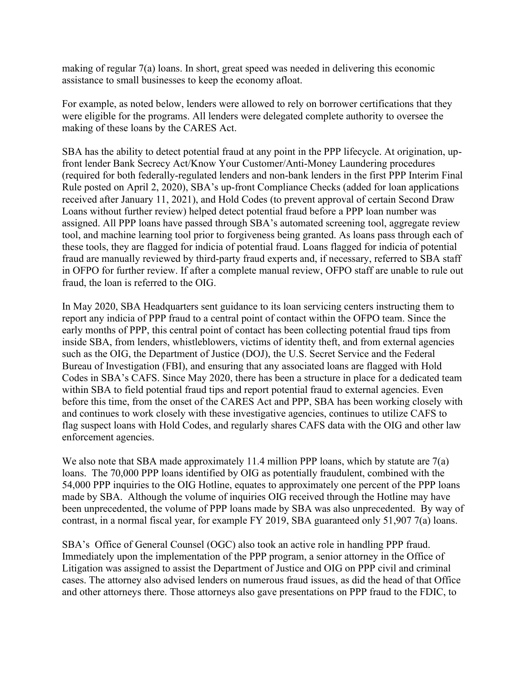making of regular 7(a) loans. In short, great speed was needed in delivering this economic assistance to small businesses to keep the economy afloat.

For example, as noted below, lenders were allowed to rely on borrower certifications that they were eligible for the programs. All lenders were delegated complete authority to oversee the making of these loans by the CARES Act.

SBA has the ability to detect potential fraud at any point in the PPP lifecycle. At origination, upfront lender Bank Secrecy Act/Know Your Customer/Anti-Money Laundering procedures (required for both federally-regulated lenders and non-bank lenders in the first PPP Interim Final Rule posted on April 2, 2020), SBA's up-front Compliance Checks (added for loan applications received after January 11, 2021), and Hold Codes (to prevent approval of certain Second Draw Loans without further review) helped detect potential fraud before a PPP loan number was assigned. All PPP loans have passed through SBA's automated screening tool, aggregate review tool, and machine learning tool prior to forgiveness being granted. As loans pass through each of these tools, they are flagged for indicia of potential fraud. Loans flagged for indicia of potential fraud are manually reviewed by third-party fraud experts and, if necessary, referred to SBA staff in OFPO for further review. If after a complete manual review, OFPO staff are unable to rule out fraud, the loan is referred to the OIG.

In May 2020, SBA Headquarters sent guidance to its loan servicing centers instructing them to report any indicia of PPP fraud to a central point of contact within the OFPO team. Since the early months of PPP, this central point of contact has been collecting potential fraud tips from inside SBA, from lenders, whistleblowers, victims of identity theft, and from external agencies such as the OIG, the Department of Justice (DOJ), the U.S. Secret Service and the Federal Bureau of Investigation (FBI), and ensuring that any associated loans are flagged with Hold Codes in SBA's CAFS. Since May 2020, there has been a structure in place for a dedicated team within SBA to field potential fraud tips and report potential fraud to external agencies. Even before this time, from the onset of the CARES Act and PPP, SBA has been working closely with and continues to work closely with these investigative agencies, continues to utilize CAFS to flag suspect loans with Hold Codes, and regularly shares CAFS data with the OIG and other law enforcement agencies.

We also note that SBA made approximately 11.4 million PPP loans, which by statute are 7(a) loans. The 70,000 PPP loans identified by OIG as potentially fraudulent, combined with the 54,000 PPP inquiries to the OIG Hotline, equates to approximately one percent of the PPP loans made by SBA. Although the volume of inquiries OIG received through the Hotline may have been unprecedented, the volume of PPP loans made by SBA was also unprecedented. By way of contrast, in a normal fiscal year, for example FY 2019, SBA guaranteed only 51,907 7(a) loans.

SBA's Office of General Counsel (OGC) also took an active role in handling PPP fraud. Immediately upon the implementation of the PPP program, a senior attorney in the Office of Litigation was assigned to assist the Department of Justice and OIG on PPP civil and criminal cases. The attorney also advised lenders on numerous fraud issues, as did the head of that Office and other attorneys there. Those attorneys also gave presentations on PPP fraud to the FDIC, to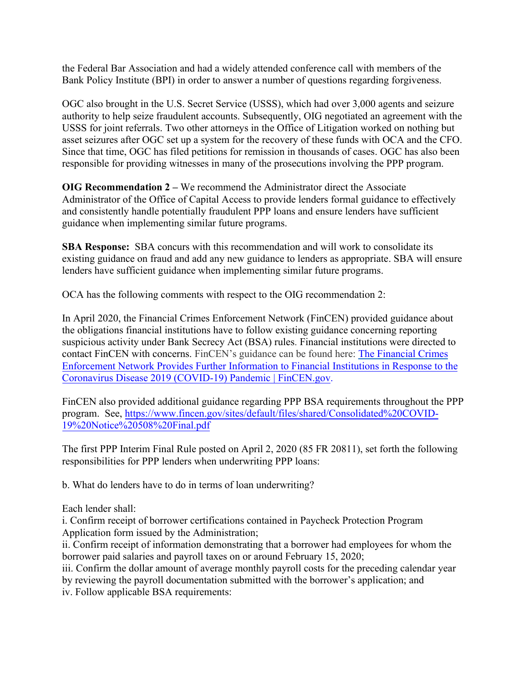the Federal Bar Association and had a widely attended conference call with members of the Bank Policy Institute (BPI) in order to answer a number of questions regarding forgiveness.

OGC also brought in the U.S. Secret Service (USSS), which had over 3,000 agents and seizure authority to help seize fraudulent accounts. Subsequently, OIG negotiated an agreement with the USSS for joint referrals. Two other attorneys in the Office of Litigation worked on nothing but asset seizures after OGC set up a system for the recovery of these funds with OCA and the CFO. Since that time, OGC has filed petitions for remission in thousands of cases. OGC has also been responsible for providing witnesses in many of the prosecutions involving the PPP program.

**OIG Recommendation 2 –** We recommend the Administrator direct the Associate Administrator of the Office of Capital Access to provide lenders formal guidance to effectively and consistently handle potentially fraudulent PPP loans and ensure lenders have sufficient guidance when implementing similar future programs.

**SBA Response:** SBA concurs with this recommendation and will work to consolidate its existing guidance on fraud and add any new guidance to lenders as appropriate. SBA will ensure lenders have sufficient guidance when implementing similar future programs.

OCA has the following comments with respect to the OIG recommendation 2:

In April 2020, the Financial Crimes Enforcement Network (FinCEN) provided guidance about the obligations financial institutions have to follow existing guidance concerning reporting suspicious activity under Bank Secrecy Act (BSA) rules. Financial institutions were directed to contact FinCEN with concerns. FinCEN's guidance can be found here: [The Financial Crimes](https://gcc02.safelinks.protection.outlook.com/?url=https%3A%2F%2Fwww.fincen.gov%2Fnews%2Fnews-releases%2Ffinancial-crimes-enforcement-network-provides-further-information-financial&data=04%7C01%7CPeter.Meyers%40sba.gov%7C29f65dadd0b3461c707208da18dcd0ef%7C3c89fd8a7f684667aa1541ebf2208961%7C1%7C0%7C637849633925909838%7CUnknown%7CTWFpbGZsb3d8eyJWIjoiMC4wLjAwMDAiLCJQIjoiV2luMzIiLCJBTiI6Ik1haWwiLCJXVCI6Mn0%3D%7C3000&sdata=T1uf12BRtyqszBIWbV4hyM%2BqldOtAb6KGHRVL8ujIK4%3D&reserved=0)  [Enforcement Network Provides Further Information to Financial Institutions in Response to the](https://gcc02.safelinks.protection.outlook.com/?url=https%3A%2F%2Fwww.fincen.gov%2Fnews%2Fnews-releases%2Ffinancial-crimes-enforcement-network-provides-further-information-financial&data=04%7C01%7CPeter.Meyers%40sba.gov%7C29f65dadd0b3461c707208da18dcd0ef%7C3c89fd8a7f684667aa1541ebf2208961%7C1%7C0%7C637849633925909838%7CUnknown%7CTWFpbGZsb3d8eyJWIjoiMC4wLjAwMDAiLCJQIjoiV2luMzIiLCJBTiI6Ik1haWwiLCJXVCI6Mn0%3D%7C3000&sdata=T1uf12BRtyqszBIWbV4hyM%2BqldOtAb6KGHRVL8ujIK4%3D&reserved=0)  [Coronavirus Disease 2019 \(COVID-19\) Pandemic | FinCEN.gov.](https://gcc02.safelinks.protection.outlook.com/?url=https%3A%2F%2Fwww.fincen.gov%2Fnews%2Fnews-releases%2Ffinancial-crimes-enforcement-network-provides-further-information-financial&data=04%7C01%7CPeter.Meyers%40sba.gov%7C29f65dadd0b3461c707208da18dcd0ef%7C3c89fd8a7f684667aa1541ebf2208961%7C1%7C0%7C637849633925909838%7CUnknown%7CTWFpbGZsb3d8eyJWIjoiMC4wLjAwMDAiLCJQIjoiV2luMzIiLCJBTiI6Ik1haWwiLCJXVCI6Mn0%3D%7C3000&sdata=T1uf12BRtyqszBIWbV4hyM%2BqldOtAb6KGHRVL8ujIK4%3D&reserved=0)

FinCEN also provided additional guidance regarding PPP BSA requirements throughout the PPP program. See, [https://www.fincen.gov/sites/default/files/shared/Consolidated%20COVID-](https://www.fincen.gov/sites/default/files/shared/Consolidated%20COVID-19%20Notice%20508%20Final.pdf)[19%20Notice%20508%20Final.pdf](https://www.fincen.gov/sites/default/files/shared/Consolidated%20COVID-19%20Notice%20508%20Final.pdf)

The first PPP Interim Final Rule posted on April 2, 2020 (85 FR 20811), set forth the following responsibilities for PPP lenders when underwriting PPP loans:

b. What do lenders have to do in terms of loan underwriting?

Each lender shall:

i. Confirm receipt of borrower certifications contained in Paycheck Protection Program Application form issued by the Administration;

ii. Confirm receipt of information demonstrating that a borrower had employees for whom the borrower paid salaries and payroll taxes on or around February 15, 2020;

iii. Confirm the dollar amount of average monthly payroll costs for the preceding calendar year by reviewing the payroll documentation submitted with the borrower's application; and

iv. Follow applicable BSA requirements: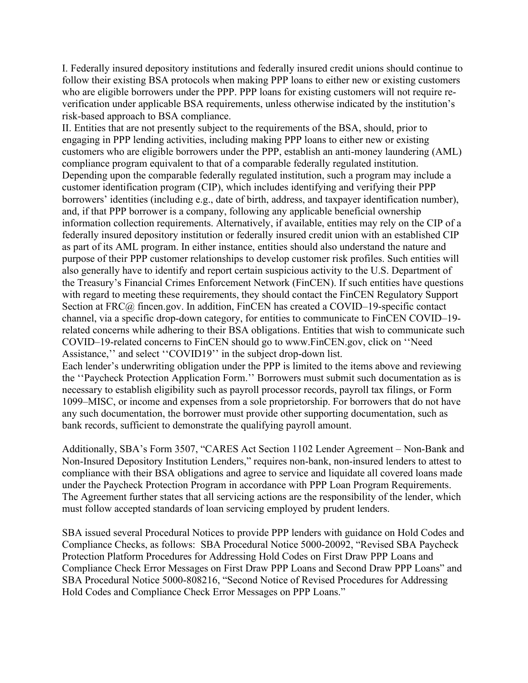I. Federally insured depository institutions and federally insured credit unions should continue to follow their existing BSA protocols when making PPP loans to either new or existing customers who are eligible borrowers under the PPP. PPP loans for existing customers will not require reverification under applicable BSA requirements, unless otherwise indicated by the institution's risk-based approach to BSA compliance.

II. Entities that are not presently subject to the requirements of the BSA, should, prior to engaging in PPP lending activities, including making PPP loans to either new or existing customers who are eligible borrowers under the PPP, establish an anti-money laundering (AML) compliance program equivalent to that of a comparable federally regulated institution. Depending upon the comparable federally regulated institution, such a program may include a customer identification program (CIP), which includes identifying and verifying their PPP borrowers' identities (including e.g., date of birth, address, and taxpayer identification number), and, if that PPP borrower is a company, following any applicable beneficial ownership information collection requirements. Alternatively, if available, entities may rely on the CIP of a federally insured depository institution or federally insured credit union with an established CIP as part of its AML program. In either instance, entities should also understand the nature and purpose of their PPP customer relationships to develop customer risk profiles. Such entities will also generally have to identify and report certain suspicious activity to the U.S. Department of the Treasury's Financial Crimes Enforcement Network (FinCEN). If such entities have questions with regard to meeting these requirements, they should contact the FinCEN Regulatory Support Section at FRC@ fincen.gov. In addition, FinCEN has created a COVID–19-specific contact channel, via a specific drop-down category, for entities to communicate to FinCEN COVID–19 related concerns while adhering to their BSA obligations. Entities that wish to communicate such COVID–19-related concerns to FinCEN should go to www.FinCEN.gov, click on ''Need Assistance,'' and select ''COVID19'' in the subject drop-down list. Each lender's underwriting obligation under the PPP is limited to the items above and reviewing the ''Paycheck Protection Application Form.'' Borrowers must submit such documentation as is necessary to establish eligibility such as payroll processor records, payroll tax filings, or Form 1099–MISC, or income and expenses from a sole proprietorship. For borrowers that do not have any such documentation, the borrower must provide other supporting documentation, such as bank records, sufficient to demonstrate the qualifying payroll amount.

Additionally, SBA's Form 3507, "CARES Act Section 1102 Lender Agreement – Non-Bank and Non-Insured Depository Institution Lenders," requires non-bank, non-insured lenders to attest to compliance with their BSA obligations and agree to service and liquidate all covered loans made under the Paycheck Protection Program in accordance with PPP Loan Program Requirements. The Agreement further states that all servicing actions are the responsibility of the lender, which must follow accepted standards of loan servicing employed by prudent lenders.

SBA issued several Procedural Notices to provide PPP lenders with guidance on Hold Codes and Compliance Checks, as follows: SBA Procedural Notice 5000-20092, "Revised SBA Paycheck Protection Platform Procedures for Addressing Hold Codes on First Draw PPP Loans and Compliance Check Error Messages on First Draw PPP Loans and Second Draw PPP Loans" and SBA Procedural Notice 5000-808216, "Second Notice of Revised Procedures for Addressing Hold Codes and Compliance Check Error Messages on PPP Loans."